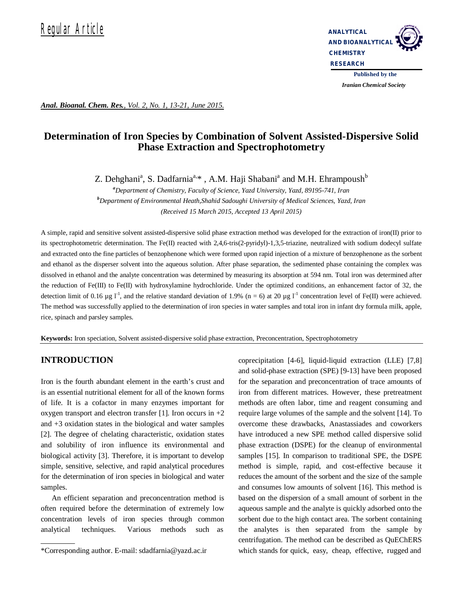

*Iranian Chemical Society* 

*Anal. Bioanal. Chem. Res., Vol. 2, No. 1, 13-21, June 2015.*

# **Determination of Iron Species by Combination of Solvent Assisted-Dispersive Solid Phase Extraction and Spectrophotometry**

Z. Dehghani<sup>a</sup>, S. Dadfarnia<sup>a,\*</sup>, A.M. Haji Shabani<sup>a</sup> and M.H. Ehrampoush<sup>b</sup>

*<sup>a</sup>Department of Chemistry, Faculty of Science, Yazd University, Yazd, 89195-741, Iran <sup>b</sup>Department of Environmental Heath,Shahid Sadoughi University of Medical Sciences, Yazd, Iran (Received 15 March 2015, Accepted 13 April 2015)*

A simple, rapid and sensitive solvent assisted-dispersive solid phase extraction method was developed for the extraction of iron(II) prior to its spectrophotometric determination. The Fe(II) reacted with 2,4,6-tris(2-pyridyl)-1,3,5-triazine, neutralized with sodium dodecyl sulfate and extracted onto the fine particles of benzophenone which were formed upon rapid injection of a mixture of benzophenone as the sorbent and ethanol as the disperser solvent into the aqueous solution. After phase separation, the sedimented phase containing the complex was dissolved in ethanol and the analyte concentration was determined by measuring its absorption at 594 nm. Total iron was determined after the reduction of Fe(III) to Fe(II) with hydroxylamine hydrochloride. Under the optimized conditions, an enhancement factor of 32, the detection limit of 0.16  $\mu$ g l<sup>-1</sup>, and the relative standard deviation of 1.9% (n = 6) at 20  $\mu$ g l<sup>-1</sup> concentration level of Fe(II) were achieved. The method was successfully applied to the determination of iron species in water samples and total iron in infant dry formula milk, apple, rice, spinach and parsley samples.

**Keywords:** Iron speciation, Solvent assisted-dispersive solid phase extraction, Preconcentration, Spectrophotometry

# **INTRODUCTION**

Iron is the fourth abundant element in the earth's crust and is an essential nutritional element for all of the known forms of life. It is a cofactor in many enzymes important for oxygen transport and electron transfer [1]. Iron occurs in  $+2$ and +3 oxidation states in the biological and water samples [2]. The degree of chelating characteristic, oxidation states and solubility of iron influence its environmental and biological activity [3]. Therefore, it is important to develop simple, sensitive, selective, and rapid analytical procedures for the determination of iron species in biological and water samples.

An efficient separation and preconcentration method is often required before the determination of extremely low concentration levels of iron species through common analytical techniques. Various methods such as

coprecipitation [4-6], liquid-liquid extraction (LLE) [7,8] and solid-phase extraction (SPE) [9-13] have been proposed for the separation and preconcentration of trace amounts of iron from different matrices. However, these pretreatment methods are often labor, time and reagent consuming and require large volumes of the sample and the solvent [14]. To overcome these drawbacks, Anastassiades and coworkers have introduced a new SPE method called dispersive solid phase extraction (DSPE) for the cleanup of environmental samples [15]. In comparison to traditional SPE, the DSPE method is simple, rapid, and cost-effective because it reduces the amount of the sorbent and the size of the sample and consumes low amounts of solvent [16]. This method is based on the dispersion of a small amount of sorbent in the aqueous sample and the analyte is quickly adsorbed onto the sorbent due to the high contact area. The sorbent containing the analytes is then separated from the sample by centrifugation. The method can be described as QuEChERS which stands for quick, easy, cheap, effective, rugged and

<sup>\*</sup>Corresponding author. E-mail: sdadfarnia@yazd.ac.ir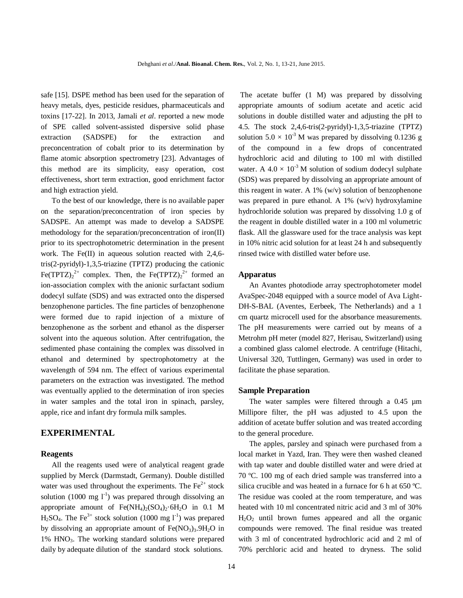safe [15]. DSPE method has been used for the separation of heavy metals, dyes, pesticide residues, pharmaceuticals and toxins [17-22]. In 2013, Jamali *et al*. reported a new mode of SPE called solvent-assisted dispersive solid phase extraction (SADSPE) for the extraction and preconcentration of cobalt prior to its determination by flame atomic absorption spectrometry [23]. Advantages of this method are its simplicity, easy operation, cost effectiveness, short term extraction, good enrichment factor and high extraction yield.

To the best of our knowledge, there is no available paper on the separation/preconcentration of iron species by SADSPE. An attempt was made to develop a SADSPE methodology for the separation/preconcentration of iron(II) prior to its spectrophotometric determination in the present work. The Fe(II) in aqueous solution reacted with 2,4,6 tris(2-pyridyl)-1,3,5-triazine (TPTZ) producing the cationic Fe(TPTZ) $_2^{2+}$  complex. Then, the Fe(TPTZ) $_2^{2+}$  formed an ion-association complex with the anionic surfactant sodium dodecyl sulfate (SDS) and was extracted onto the dispersed benzophenone particles. The fine particles of benzophenone were formed due to rapid injection of a mixture of benzophenone as the sorbent and ethanol as the disperser solvent into the aqueous solution. After centrifugation, the sedimented phase containing the complex was dissolved in ethanol and determined by spectrophotometry at the wavelength of 594 nm. The effect of various experimental parameters on the extraction was investigated. The method was eventually applied to the determination of iron species in water samples and the total iron in spinach, parsley, apple, rice and infant dry formula milk samples.

## **EXPERIMENTAL**

#### **Reagents**

All the reagents used were of analytical reagent grade supplied by Merck (Darmstadt, Germany). Double distilled water was used throughout the experiments. The  $Fe<sup>2+</sup>$  stock solution (1000 mg  $1^{-1}$ ) was prepared through dissolving an appropriate amount of  $Fe(NH<sub>4</sub>)<sub>2</sub>(SO<sub>4</sub>)<sub>2</sub>·6H<sub>2</sub>O$  in 0.1 M  $H_2SO_4$ . The Fe<sup>3+</sup> stock solution (1000 mg l<sup>-1</sup>) was prepared by dissolving an appropriate amount of  $Fe(NO<sub>3</sub>)<sub>3</sub>$ .  $9H<sub>2</sub>O$  in 1% HNO3. The working standard solutions were prepared daily by adequate dilution of the standard stock solutions.

 The acetate buffer (1 M) was prepared by dissolving appropriate amounts of sodium acetate and acetic acid solutions in double distilled water and adjusting the pH to 4.5. The stock 2,4,6-tris(2-pyridyl)-1,3,5-triazine (TPTZ) solution  $5.0 \times 10^{-3}$  M was prepared by dissolving 0.1236 g of the compound in a few drops of concentrated hydrochloric acid and diluting to 100 ml with distilled water. A  $4.0 \times 10^{-3}$  M solution of sodium dodecyl sulphate (SDS) was prepared by dissolving an appropriate amount of this reagent in water. A 1% (w/v) solution of benzophenone was prepared in pure ethanol. A 1% (w/v) hydroxylamine hydrochloride solution was prepared by dissolving 1.0 g of the reagent in double distilled water in a 100 ml volumetric flask. All the glassware used for the trace analysis was kept in 10% nitric acid solution for at least 24 h and subsequently rinsed twice with distilled water before use.

#### **Apparatus**

An Avantes photodiode array spectrophotometer model AvaSpec-2048 equipped with a source model of Ava Light-DH-S-BAL (Aventes, Eerbeek, The Netherlands) and a 1 cm quartz microcell used for the absorbance measurements. The pH measurements were carried out by means of a Metrohm pH meter (model 827, Herisau, Switzerland) using a combined glass calomel electrode. A centrifuge (Hitachi, Universal 320, Tuttlingen, Germany) was used in order to facilitate the phase separation.

#### **Sample Preparation**

The water samples were filtered through a 0.45  $\mu$ m Millipore filter, the pH was adjusted to 4.5 upon the addition of acetate buffer solution and was treated according to the general procedure.

The apples, parsley and spinach were purchased from a local market in Yazd, Iran. They were then washed cleaned with tap water and double distilled water and were dried at 70 ºC. 100 mg of each dried sample was transferred into a silica crucible and was heated in a furnace for 6 h at 650 ºC. The residue was cooled at the room temperature, and was heated with 10 ml concentrated nitric acid and 3 ml of 30%  $H_2O_2$  until brown fumes appeared and all the organic compounds were removed. The final residue was treated with 3 ml of concentrated hydrochloric acid and 2 ml of 70% perchloric acid and heated to dryness. The solid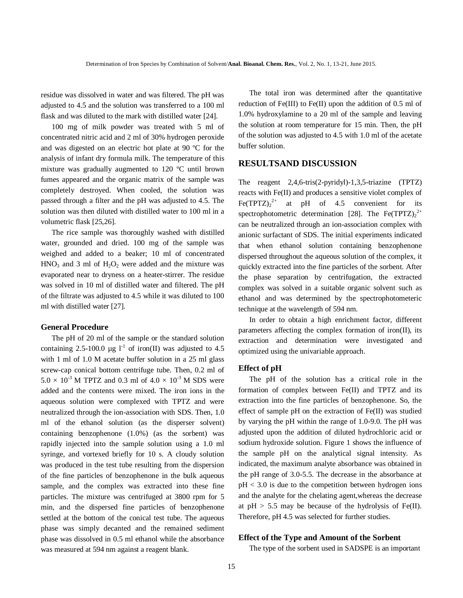residue was dissolved in water and was filtered. The pH was adjusted to 4.5 and the solution was transferred to a 100 ml flask and was diluted to the mark with distilled water [24].

100 mg of milk powder was treated with 5 ml of concentrated nitric acid and 2 ml of 30% hydrogen peroxide and was digested on an electric hot plate at 90 ºC for the analysis of infant dry formula milk. The temperature of this mixture was gradually augmented to 120 ºC until brown fumes appeared and the organic matrix of the sample was completely destroyed. When cooled, the solution was passed through a filter and the pH was adjusted to 4.5. The solution was then diluted with distilled water to 100 ml in a volumetric flask [25,26].

The rice sample was thoroughly washed with distilled water, grounded and dried. 100 mg of the sample was weighed and added to a beaker; 10 ml of concentrated  $HNO<sub>3</sub>$  and 3 ml of  $H<sub>2</sub>O<sub>2</sub>$  were added and the mixture was evaporated near to dryness on a heater-stirrer. The residue was solved in 10 ml of distilled water and filtered. The pH of the filtrate was adjusted to 4.5 while it was diluted to 100 ml with distilled water [27].

#### **General Procedure**

The pH of 20 ml of the sample or the standard solution containing 2.5-100.0 µg  $I^{-1}$  of iron(II) was adjusted to 4.5 with 1 ml of 1.0 M acetate buffer solution in a 25 ml glass screw-cap conical bottom centrifuge tube. Then, 0.2 ml of  $5.0 \times 10^{-3}$  M TPTZ and 0.3 ml of  $4.0 \times 10^{-3}$  M SDS were added and the contents were mixed. The iron ions in the aqueous solution were complexed with TPTZ and were neutralized through the ion-association with SDS. Then, 1.0 ml of the ethanol solution (as the disperser solvent) containing benzophenone (1.0%) (as the sorbent) was rapidly injected into the sample solution using a 1.0 ml syringe, and vortexed briefly for 10 s. A cloudy solution was produced in the test tube resulting from the dispersion of the fine particles of benzophenone in the bulk aqueous sample, and the complex was extracted into these fine particles. The mixture was centrifuged at 3800 rpm for 5 min, and the dispersed fine particles of benzophenone settled at the bottom of the conical test tube. The aqueous phase was simply decanted and the remained sediment phase was dissolved in 0.5 ml ethanol while the absorbance was measured at 594 nm against a reagent blank.

The total iron was determined after the quantitative reduction of Fe(III) to Fe(II) upon the addition of 0.5 ml of 1.0% hydroxylamine to a 20 ml of the sample and leaving the solution at room temperature for 15 min. Then, the pH of the solution was adjusted to 4.5 with 1.0 ml of the acetate buffer solution.

# **RESULTSAND DISCUSSION**

The reagent 2,4,6-tris(2-pyridyl)-1,3,5-triazine (TPTZ) reacts with Fe(II) and produces a sensitive violet complex of Fe(TPTZ) $_2^{2+}$  at pH of 4.5 convenient for its spectrophotometric determination [28]. The Fe(TPTZ)<sub>2</sub><sup>2+</sup> can be neutralized through an ion-association complex with anionic surfactant of SDS. The initial experiments indicated that when ethanol solution containing benzophenone dispersed throughout the aqueous solution of the complex, it quickly extracted into the fine particles of the sorbent. After the phase separation by centrifugation, the extracted complex was solved in a suitable organic solvent such as ethanol and was determined by the spectrophotometeric technique at the wavelength of 594 nm.

In order to obtain a high enrichment factor, different parameters affecting the complex formation of iron(II), its extraction and determination were investigated and optimized using the univariable approach.

#### **Effect of pH**

The pH of the solution has a critical role in the formation of complex between Fe(II) and TPTZ and its extraction into the fine particles of benzophenone. So, the effect of sample pH on the extraction of Fe(II) was studied by varying the pH within the range of 1.0-9.0. The pH was adjusted upon the addition of diluted hydrochloric acid or sodium hydroxide solution. Figure 1 shows the influence of the sample pH on the analytical signal intensity. As indicated, the maximum analyte absorbance was obtained in the pH range of 3.0-5.5. The decrease in the absorbance at  $pH < 3.0$  is due to the competition between hydrogen ions and the analyte for the chelating agent,whereas the decrease at  $pH > 5.5$  may be because of the hydrolysis of Fe(II). Therefore, pH 4.5 was selected for further studies.

#### **Effect of the Type and Amount of the Sorbent**

The type of the sorbent used in SADSPE is an important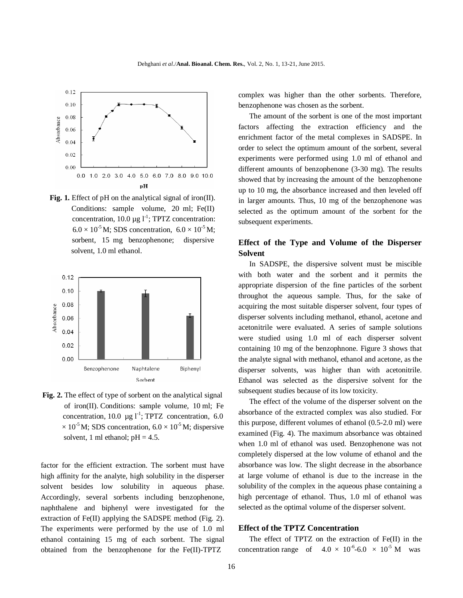

**Fig. 1.** Effect of pH on the analytical signal of iron(II). Conditions: sample volume, 20 ml; Fe(II) concentration, 10.0  $\mu$ g l<sup>-1</sup>; TPTZ concentration:  $6.0 \times 10^{-5}$  M; SDS concentration,  $6.0 \times 10^{-5}$  M; sorbent, 15 mg benzophenone; dispersive solvent, 1.0 ml ethanol.



**Fig. 2.** The effect of type of sorbent on the analytical signal of iron(II). Conditions: sample volume, 10 ml; Fe concentration, 10.0  $\mu$ g l<sup>-1</sup>; TPTZ concentration, 6.0  $\times 10^{-5}$  M; SDS concentration, 6.0  $\times 10^{-5}$  M; dispersive solvent, 1 ml ethanol;  $pH = 4.5$ .

factor for the efficient extraction. The sorbent must have high affinity for the analyte, high solubility in the disperser solvent besides low solubility in aqueous phase. Accordingly, several sorbents including benzophenone, naphthalene and biphenyl were investigated for the extraction of Fe(II) applying the SADSPE method (Fig. 2). The experiments were performed by the use of 1.0 ml ethanol containing 15 mg of each sorbent. The signal obtained from the benzophenone for the Fe(II)-TPTZ

complex was higher than the other sorbents. Therefore, benzophenone was chosen as the sorbent.

The amount of the sorbent is one of the most important factors affecting the extraction efficiency and the enrichment factor of the metal complexes in SADSPE. In order to select the optimum amount of the sorbent, several experiments were performed using 1.0 ml of ethanol and different amounts of benzophenone (3-30 mg). The results showed that by increasing the amount of the benzophenone up to 10 mg, the absorbance increased and then leveled off in larger amounts. Thus, 10 mg of the benzophenone was selected as the optimum amount of the sorbent for the subsequent experiments.

# **Effect of the Type and Volume of the Disperser Solvent**

In SADSPE, the dispersive solvent must be miscible with both water and the sorbent and it permits the appropriate dispersion of the fine particles of the sorbent throughot the aqueous sample. Thus, for the sake of acquiring the most suitable disperser solvent, four types of disperser solvents including methanol, ethanol, acetone and acetonitrile were evaluated. A series of sample solutions were studied using 1.0 ml of each disperser solvent containing 10 mg of the benzophnone. Figure 3 shows that the analyte signal with methanol, ethanol and acetone, as the disperser solvents, was higher than with acetonitrile. Ethanol was selected as the dispersive solvent for the subsequent studies because of its low toxicity.

The effect of the volume of the disperser solvent on the absorbance of the extracted complex was also studied. For this purpose, different volumes of ethanol (0.5-2.0 ml) were examined (Fig. 4). The maximum absorbance was obtained when 1.0 ml of ethanol was used. Benzophenone was not completely dispersed at the low volume of ethanol and the absorbance was low. The slight decrease in the absorbance at large volume of ethanol is due to the increase in the solubility of the complex in the aqueous phase containing a high percentage of ethanol. Thus, 1.0 ml of ethanol was selected as the optimal volume of the disperser solvent.

#### **Effect of the TPTZ Concentration**

The effect of TPTZ on the extraction of Fe(II) in the concentration range of  $4.0 \times 10^{-6}$ -6.0  $\times 10^{-5}$  M was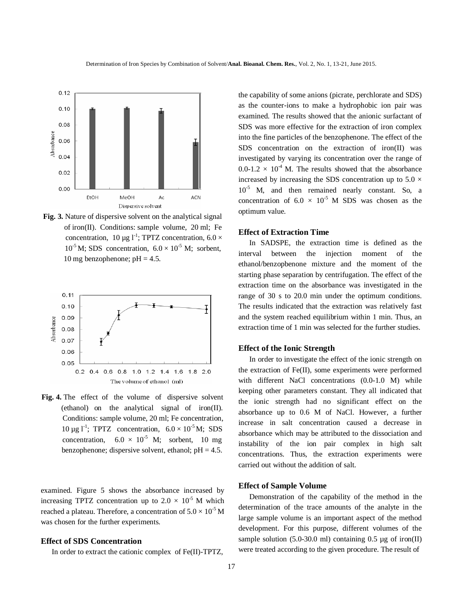

**Fig. 3.** Nature of dispersive solvent on the analytical signal of iron(II). Conditions: sample volume, 20 ml; Fe concentration, 10 µg  $I^{-1}$ ; TPTZ concentration, 6.0  $\times$  $10^{-5}$  M; SDS concentration,  $6.0 \times 10^{-5}$  M; sorbent, 10 mg benzophenone; pH =  $4.5$ .



**Fig. 4.** The effect of the volume of dispersive solvent (ethanol) on the analytical signal of iron(II). Conditions: sample volume, 20 ml; Fe concentration, 10 µg l<sup>-1</sup>; TPTZ concentration,  $6.0 \times 10^{-5}$  M; SDS concentration,  $6.0 \times 10^{-5}$  M; sorbent, 10 mg benzophenone; dispersive solvent, ethanol;  $pH = 4.5$ .

examined. Figure 5 shows the absorbance increased by increasing TPTZ concentration up to  $2.0 \times 10^{-5}$  M which reached a plateau. Therefore, a concentration of  $5.0 \times 10^{-5}$  M was chosen for the further experiments.

#### **Effect of SDS Concentration**

In order to extract the cationic complex of Fe(II)-TPTZ,

the capability of some anions (picrate, perchlorate and SDS) as the counter-ions to make a hydrophobic ion pair was examined. The results showed that the anionic surfactant of SDS was more effective for the extraction of iron complex into the fine particles of the benzophenone. The effect of the SDS concentration on the extraction of iron(II) was investigated by varying its concentration over the range of  $0.0\n-1.2 \times 10<sup>-4</sup>$  M. The results showed that the absorbance increased by increasing the SDS concentration up to 5.0  $\times$  $10^{-5}$  M, and then remained nearly constant. So, a concentration of  $6.0 \times 10^{-5}$  M SDS was chosen as the optimum value.

# **Effect of Extraction Time**

In SADSPE, the extraction time is defined as the interval between the injection moment of the ethanol/benzopbenone mixture and the moment of the starting phase separation by centrifugation. The effect of the extraction time on the absorbance was investigated in the range of 30 s to 20.0 min under the optimum conditions. The results indicated that the extraction was relatively fast and the system reached equilibrium within 1 min. Thus, an extraction time of 1 min was selected for the further studies.

#### **Effect of the Ionic Strength**

In order to investigate the effect of the ionic strength on the extraction of Fe(II), some experiments were performed with different NaCl concentrations (0.0-1.0 M) while keeping other parameters constant. They all indicated that the ionic strength had no significant effect on the absorbance up to 0.6 M of NaCl. However, a further increase in salt concentration caused a decrease in absorbance which may be attributed to the dissociation and instability of the ion pair complex in high salt concentrations. Thus, the extraction experiments were carried out without the addition of salt.

#### **Effect of Sample Volume**

Demonstration of the capability of the method in the determination of the trace amounts of the analyte in the large sample volume is an important aspect of the method development. For this purpose, different volumes of the sample solution  $(5.0\n-30.0$  ml) containing 0.5 µg of iron(II) were treated according to the given procedure. The result of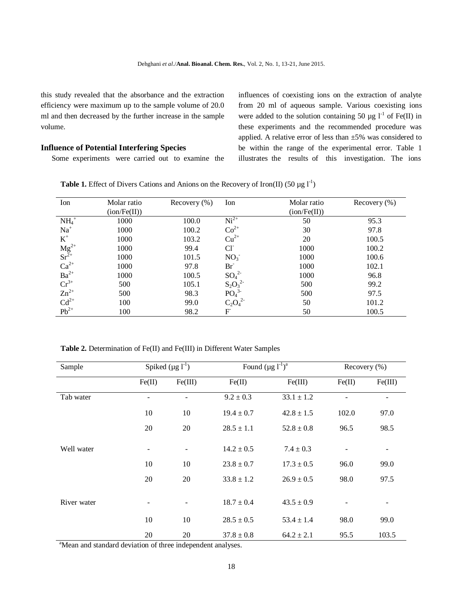this study revealed that the absorbance and the extraction efficiency were maximum up to the sample volume of 20.0 ml and then decreased by the further increase in the sample volume.

#### **Influence of Potential Interfering Species**

Some experiments were carried out to examine the

influences of coexisting ions on the extraction of analyte from 20 ml of aqueous sample. Various coexisting ions were added to the solution containing 50  $\mu$ g l<sup>-1</sup> of Fe(II) in these experiments and the recommended procedure was applied. A relative error of less than ±5% was considered to be within the range of the experimental error. Table 1 illustrates the results of this investigation. The ions

| Ion                                                                                       | Molar ratio  | Recovery $(\%)$ | Molar ratio<br>Ion           |              | Recovery $(\%)$ |
|-------------------------------------------------------------------------------------------|--------------|-----------------|------------------------------|--------------|-----------------|
|                                                                                           | (ion/Fe(II)) |                 |                              | (ion/Fe(II)) |                 |
| $NH4+$                                                                                    | 1000         | 100.0           | $Ni2+$                       | 50           | 95.3            |
| $Na+$                                                                                     | 1000         | 100.2           | $Co2+$                       | 30           | 97.8            |
| $\rm K^+$                                                                                 | 1000         | 103.2           | $Cu2+$                       | 20           | 100.5           |
| $Mg^{2+}$<br>Sr <sup>2+</sup><br>Ca <sup>2+</sup><br>Ba <sup>2+</sup><br>Cr <sup>3+</sup> | 1000         | 99.4            | $Cl^{\dagger}$               | 1000         | 100.2           |
|                                                                                           | 1000         | 101.5           | NO <sub>3</sub>              | 1000         | 100.6           |
|                                                                                           | 1000         | 97.8            | $Br-1$                       | 1000         | 102.1           |
|                                                                                           | 1000         | 100.5           | $SO_4^2$                     | 1000         | 96.8            |
|                                                                                           | 500          | 105.1           | $S_2O_3^2$                   | 500          | 99.2            |
| $Zn^{2+}$                                                                                 | 500          | 98.3            | PO <sub>4</sub> <sup>3</sup> | 500          | 97.5            |
| $Cd^{2+}$                                                                                 | 100          | 99.0            | $C_2O_4^2$                   | 50           | 101.2           |
| $Pb^{2+}$                                                                                 | 100          | 98.2            | F                            | 50           | 100.5           |

**Table 1.** Effect of Divers Cations and Anions on the Recovery of Iron(II) (50  $\mu$ g l<sup>-1</sup>)

 **Table 2.** Determination of Fe(II) and Fe(III) in Different Water Samples

| Sample      | Spiked $(\mu g I^{-1})$ |         | Found $(\mu g l^{-1})^a$ |                | Recovery (%) |         |
|-------------|-------------------------|---------|--------------------------|----------------|--------------|---------|
|             | Fe(II)                  | Fe(III) | Fe(II)                   | Fe(III)        | Fe(II)       | Fe(III) |
| Tab water   |                         |         | $9.2 \pm 0.3$            | $33.1 \pm 1.2$ |              |         |
|             | 10                      | 10      | $19.4 \pm 0.7$           | $42.8 \pm 1.5$ | 102.0        | 97.0    |
|             | 20                      | 20      | $28.5 \pm 1.1$           | $52.8 \pm 0.8$ | 96.5         | 98.5    |
| Well water  |                         |         | $14.2 \pm 0.5$           | $7.4 \pm 0.3$  |              |         |
|             | 10                      | 10      | $23.8 \pm 0.7$           | $17.3 \pm 0.5$ | 96.0         | 99.0    |
|             | 20                      | 20      | $33.8 \pm 1.2$           | $26.9 \pm 0.5$ | 98.0         | 97.5    |
| River water |                         |         | $18.7 \pm 0.4$           | $43.5 \pm 0.9$ |              |         |
|             | 10                      | 10      | $28.5 \pm 0.5$           | $53.4 \pm 1.4$ | 98.0         | 99.0    |
|             | 20                      | 20      | $37.8 \pm 0.8$           | $64.2 \pm 2.1$ | 95.5         | 103.5   |

<sup>a</sup>Mean and standard deviation of three independent analyses.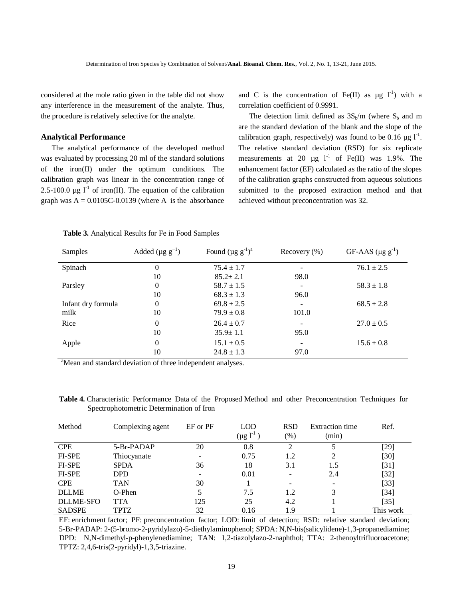considered at the mole ratio given in the table did not show any interference in the measurement of the analyte. Thus, the procedure is relatively selective for the analyte.

## **Analytical Performance**

The analytical performance of the developed method was evaluated by processing 20 ml of the standard solutions of the iron(II) under the optimum conditions. The calibration graph was linear in the concentration range of 2.5-100.0  $\mu$ g l<sup>-1</sup> of iron(II). The equation of the calibration graph was  $A = 0.0105C - 0.0139$  (where A is the absorbance

and C is the concentration of Fe(II) as  $\mu$ g l<sup>-1</sup>) with a correlation coefficient of 0.9991.

The detection limit defined as  $3S_b/m$  (where  $S_b$  and m are the standard deviation of the blank and the slope of the calibration graph, respectively) was found to be 0.16  $\mu$ g l<sup>-1</sup>. The relative standard deviation (RSD) for six replicate measurements at 20  $\mu$ g 1<sup>-1</sup> of Fe(II) was 1.9%. The enhancement factor (EF) calculated as the ratio of the slopes of the calibration graphs constructed from aqueous solutions submitted to the proposed extraction method and that achieved without preconcentration was 32.

| Samples            | Added ( $\mu$ g g <sup>-1</sup> ) | Found $(\mu g g^{-1})^a$ | Recovery $(\% )$ | GF-AAS $(\mu g g^{-1})$ |
|--------------------|-----------------------------------|--------------------------|------------------|-------------------------|
| Spinach            | $\theta$                          | $75.4 \pm 1.7$           |                  | $76.1 \pm 2.5$          |
|                    | 10                                | $85.2 \pm 2.1$           | 98.0             |                         |
| Parsley            | $\Omega$                          | $58.7 \pm 1.5$           |                  | $58.3 \pm 1.8$          |
|                    | 10                                | $68.3 \pm 1.3$           | 96.0             |                         |
| Infant dry formula | $\Omega$                          | $69.8 \pm 2.5$           |                  | $68.5 \pm 2.8$          |
| milk               | 10                                | $79.9 \pm 0.8$           | 101.0            |                         |
| Rice               | $\Omega$                          | $26.4 \pm 0.7$           |                  | $27.0 \pm 0.5$          |
|                    | 10                                | $35.9 \pm 1.1$           | 95.0             |                         |
| Apple              | $\theta$                          | $15.1 \pm 0.5$           |                  | $15.6 \pm 0.8$          |
|                    | 10                                | $24.8 \pm 1.3$           | 97.0             |                         |

 **Table 3.** Analytical Results for Fe in Food Samples

<sup>a</sup>Mean and standard deviation of three independent analyses.

 **Table 4.** Characteristic Performance Data of the Proposed Method and other Preconcentration Techniques for Spectrophotometric Determination of Iron

| Method           | Complexing agent | EF or PF                 | <b>LOD</b><br>$(\mu g l^{-1})$ | <b>RSD</b><br>$(\%)$     | Extraction time<br>(min) | Ref.      |
|------------------|------------------|--------------------------|--------------------------------|--------------------------|--------------------------|-----------|
| <b>CPE</b>       | 5-Br-PADAP       | 20                       | 0.8                            | $\gamma$                 |                          | [29]      |
| <b>FI-SPE</b>    | Thiocyanate      | $\overline{\phantom{a}}$ | 0.75                           | 1.2                      | 2                        | $[30]$    |
| <b>FI-SPE</b>    | <b>SPDA</b>      | 36                       | 18                             | 3.1                      | 1.5                      | $[31]$    |
| <b>FI-SPE</b>    | DPD              | $\overline{\phantom{a}}$ | 0.01                           | $\overline{\phantom{a}}$ | 2.4                      | $[32]$    |
| <b>CPE</b>       | <b>TAN</b>       | 30                       |                                | $\overline{\phantom{0}}$ | $\overline{\phantom{a}}$ | $[33]$    |
| <b>DLLME</b>     | $O-Phen$         | 5                        | 7.5                            | 1.2                      | 3                        | $[34]$    |
| <b>DLLME-SFO</b> | TTA              | 125                      | 25                             | 4.2                      |                          | $[35]$    |
| <b>SADSPE</b>    | TPTZ             | 32                       | 0.16                           | 1.9                      |                          | This work |

 EF: enrichment factor; PF: preconcentration factor; LOD: limit of detection; RSD: relative standard deviation; 5-Br-PADAP: 2-(5-bromo-2-pyridylazo)-5-diethylaminophenol; SPDA: N,N-bis(salicylidene)-1,3-propanediamine; DPD: N,N-dimethyl-p-phenylenediamine; TAN: 1,2-tiazolylazo-2-naphthol; TTA: 2-thenoyltrifluoroacetone; TPTZ: 2,4,6-tris(2-pyridyl)-1,3,5-triazine.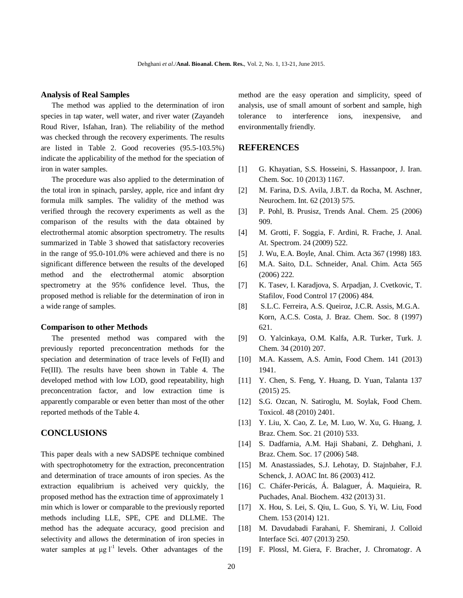#### **Analysis of Real Samples**

The method was applied to the determination of iron species in tap water, well water, and river water (Zayandeh Roud River, Isfahan, Iran). The reliability of the method was checked through the recovery experiments. The results are listed in Table 2. Good recoveries (95.5-103.5%) indicate the applicability of the method for the speciation of iron in water samples.

The procedure was also applied to the determination of the total iron in spinach, parsley, apple, rice and infant dry formula milk samples. The validity of the method was verified through the recovery experiments as well as the comparison of the results with the data obtained by electrothermal atomic absorption spectrometry. The results summarized in Table 3 showed that satisfactory recoveries in the range of 95.0-101.0% were achieved and there is no significant difference between the results of the developed method and the electrothermal atomic absorption spectrometry at the 95% confidence level. Thus, the proposed method is reliable for the determination of iron in a wide range of samples.

#### **Comparison to other Methods**

The presented method was compared with the previously reported preconcentration methods for the speciation and determination of trace levels of Fe(II) and Fe(III). The results have been shown in Table 4. The developed method with low LOD, good repeatability, high preconcentration factor, and low extraction time is apparently comparable or even better than most of the other reported methods of the Table 4.

# **CONCLUSIONS**

This paper deals with a new SADSPE technique combined with spectrophotometry for the extraction, preconcentration and determination of trace amounts of iron species. As the extraction equalibrium is acheived very quickly, the proposed method has the extraction time of approximately 1 min which is lower or comparable to the previously reported methods including LLE, SPE, CPE and DLLME. The method has the adequate accuracy, good precision and selectivity and allows the determination of iron species in water samples at  $\mu$ g l<sup>-1</sup> levels. Other advantages of the

method are the easy operation and simplicity, speed of analysis, use of small amount of sorbent and sample, high tolerance to interference ions, inexpensive, and environmentally friendly.

## **REFERENCES**

- [1] G. Khayatian, S.S. Hosseini, S. Hassanpoor, J. Iran. Chem. Soc. 10 (2013) 1167.
- [2] M. Farina, D.S. Avila, J.B.T. da Rocha, M. Aschner, Neurochem. Int. 62 (2013) 575.
- [3] P. Pohl, B. Prusisz, Trends Anal. Chem. 25 (2006) 909.
- [4] M. Grotti, F. Soggia, F. Ardini, R. Frache, J. Anal. At. Spectrom. 24 (2009) 522.
- [5] J. Wu, E.A. Boyle, Anal. Chim. Acta 367 (1998) 183.
- [6] M.A. Saito, D.L. Schneider, Anal. Chim. Acta 565 (2006) 222.
- [7] K. Tasev, I. Karadjova, S. Arpadjan, J. Cvetkovic, T. Stafilov, Food Control 17 (2006) 484.
- [8] S.L.C. Ferreira, A.S. Queiroz, J.C.R. Assis, M.G.A. Korn, A.C.S. Costa, J. Braz. Chem. Soc. 8 (1997) 621.
- [9] O. Yalcinkaya, O.M. Kalfa, A.R. Turker, Turk. J. Chem. 34 (2010) 207.
- [10] M.A. Kassem, A.S. Amin, Food Chem. 141 (2013) 1941.
- [11] Y. Chen, S. Feng, Y. Huang, D. Yuan, Talanta 137 (2015) 25.
- [12] S.G. Ozcan, N. Satiroglu, M. Soylak, Food Chem. Toxicol. 48 (2010) 2401.
- [13] Y. Liu, X. Cao, Z. Le, M. Luo, W. Xu, G. Huang, J. Braz. Chem. Soc. 21 (2010) 533.
- [14] S. Dadfarnia, A.M. Haji Shabani, Z. Dehghani, J. Braz. Chem. Soc. 17 (2006) 548.
- [15] M. Anastassiades, S.J. Lehotay, D. Stajnbaher, F.J. Schenck, J. AOAC Int. 86 (2003) 412.
- [16] C. Cháfer-Pericás, Á. Balaguer, Á. Maquieira, R. Puchades, Anal. Biochem. 432 (2013) 31.
- [17] X. Hou, S. Lei, S. Qiu, L. Guo, S. Yi, W. Liu, Food Chem. 153 (2014) 121.
- [18] M. Davudabadi Farahani, F. Shemirani, J. Colloid Interface Sci. 407 (2013) 250.
- [19] F. Plossl, M. Giera, F. Bracher, J. Chromatogr. A